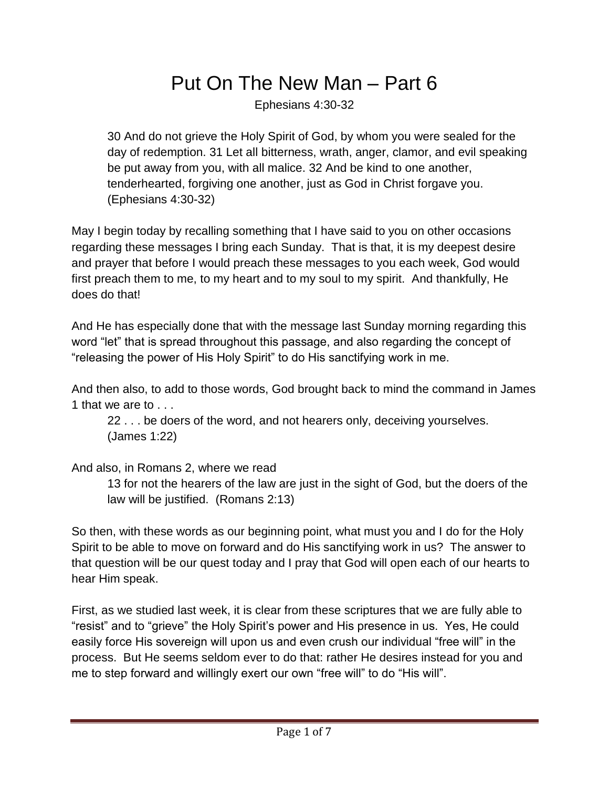## Put On The New Man – Part 6

Ephesians 4:30-32

30 And do not grieve the Holy Spirit of God, by whom you were sealed for the day of redemption. 31 Let all bitterness, wrath, anger, clamor, and evil speaking be put away from you, with all malice. 32 And be kind to one another, tenderhearted, forgiving one another, just as God in Christ forgave you. (Ephesians 4:30-32)

May I begin today by recalling something that I have said to you on other occasions regarding these messages I bring each Sunday. That is that, it is my deepest desire and prayer that before I would preach these messages to you each week, God would first preach them to me, to my heart and to my soul to my spirit. And thankfully, He does do that!

And He has especially done that with the message last Sunday morning regarding this word "let" that is spread throughout this passage, and also regarding the concept of "releasing the power of His Holy Spirit" to do His sanctifying work in me.

And then also, to add to those words, God brought back to mind the command in James 1 that we are to . . .

22 . . . be doers of the word, and not hearers only, deceiving yourselves. (James 1:22)

## And also, in Romans 2, where we read

13 for not the hearers of the law are just in the sight of God, but the doers of the law will be justified. (Romans 2:13)

So then, with these words as our beginning point, what must you and I do for the Holy Spirit to be able to move on forward and do His sanctifying work in us? The answer to that question will be our quest today and I pray that God will open each of our hearts to hear Him speak.

First, as we studied last week, it is clear from these scriptures that we are fully able to "resist" and to "grieve" the Holy Spirit's power and His presence in us. Yes, He could easily force His sovereign will upon us and even crush our individual "free will" in the process. But He seems seldom ever to do that: rather He desires instead for you and me to step forward and willingly exert our own "free will" to do "His will".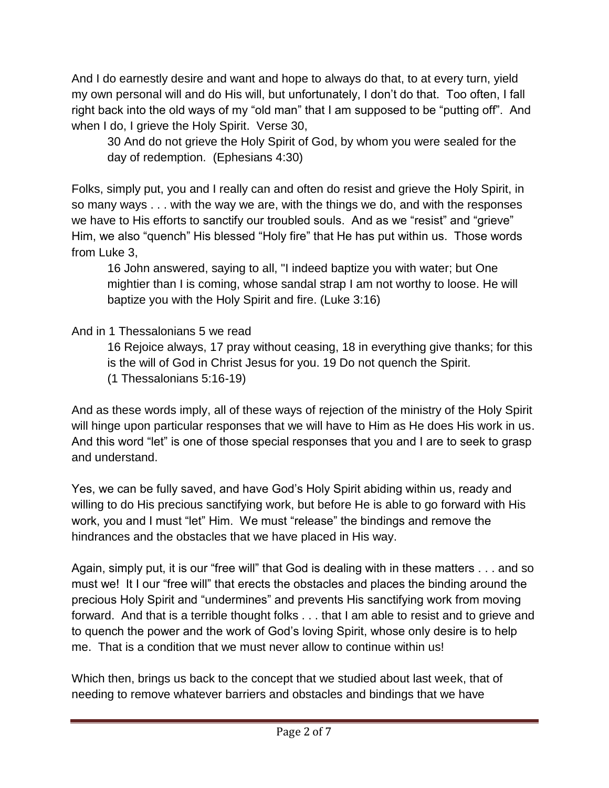And I do earnestly desire and want and hope to always do that, to at every turn, yield my own personal will and do His will, but unfortunately, I don't do that. Too often, I fall right back into the old ways of my "old man" that I am supposed to be "putting off". And when I do, I grieve the Holy Spirit. Verse 30,

30 And do not grieve the Holy Spirit of God, by whom you were sealed for the day of redemption. (Ephesians 4:30)

Folks, simply put, you and I really can and often do resist and grieve the Holy Spirit, in so many ways . . . with the way we are, with the things we do, and with the responses we have to His efforts to sanctify our troubled souls. And as we "resist" and "grieve" Him, we also "quench" His blessed "Holy fire" that He has put within us. Those words from Luke 3,

16 John answered, saying to all, "I indeed baptize you with water; but One mightier than I is coming, whose sandal strap I am not worthy to loose. He will baptize you with the Holy Spirit and fire. (Luke 3:16)

And in 1 Thessalonians 5 we read

16 Rejoice always, 17 pray without ceasing, 18 in everything give thanks; for this is the will of God in Christ Jesus for you. 19 Do not quench the Spirit. (1 Thessalonians 5:16-19)

And as these words imply, all of these ways of rejection of the ministry of the Holy Spirit will hinge upon particular responses that we will have to Him as He does His work in us. And this word "let" is one of those special responses that you and I are to seek to grasp and understand.

Yes, we can be fully saved, and have God's Holy Spirit abiding within us, ready and willing to do His precious sanctifying work, but before He is able to go forward with His work, you and I must "let" Him. We must "release" the bindings and remove the hindrances and the obstacles that we have placed in His way.

Again, simply put, it is our "free will" that God is dealing with in these matters . . . and so must we! It I our "free will" that erects the obstacles and places the binding around the precious Holy Spirit and "undermines" and prevents His sanctifying work from moving forward. And that is a terrible thought folks . . . that I am able to resist and to grieve and to quench the power and the work of God's loving Spirit, whose only desire is to help me. That is a condition that we must never allow to continue within us!

Which then, brings us back to the concept that we studied about last week, that of needing to remove whatever barriers and obstacles and bindings that we have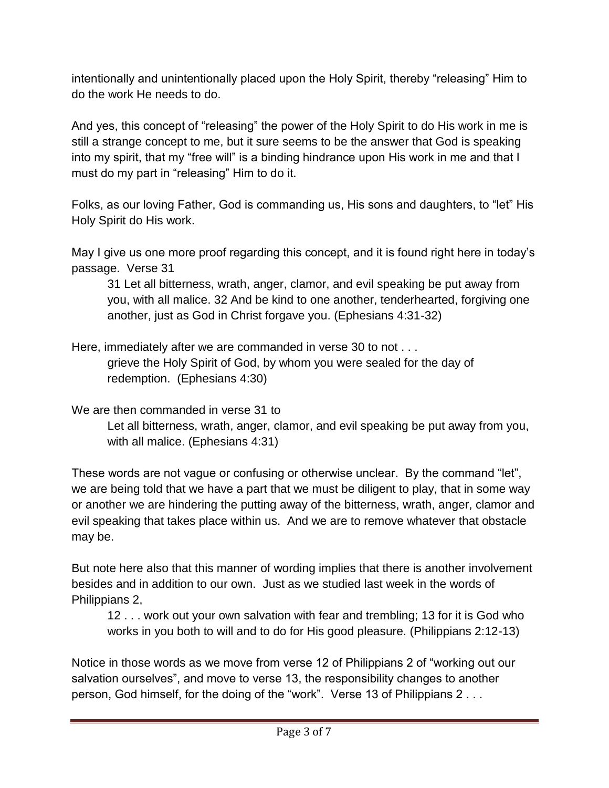intentionally and unintentionally placed upon the Holy Spirit, thereby "releasing" Him to do the work He needs to do.

And yes, this concept of "releasing" the power of the Holy Spirit to do His work in me is still a strange concept to me, but it sure seems to be the answer that God is speaking into my spirit, that my "free will" is a binding hindrance upon His work in me and that I must do my part in "releasing" Him to do it.

Folks, as our loving Father, God is commanding us, His sons and daughters, to "let" His Holy Spirit do His work.

May I give us one more proof regarding this concept, and it is found right here in today's passage. Verse 31

31 Let all bitterness, wrath, anger, clamor, and evil speaking be put away from you, with all malice. 32 And be kind to one another, tenderhearted, forgiving one another, just as God in Christ forgave you. (Ephesians 4:31-32)

Here, immediately after we are commanded in verse 30 to not . . .

grieve the Holy Spirit of God, by whom you were sealed for the day of redemption. (Ephesians 4:30)

We are then commanded in verse 31 to

Let all bitterness, wrath, anger, clamor, and evil speaking be put away from you, with all malice. (Ephesians 4:31)

These words are not vague or confusing or otherwise unclear. By the command "let", we are being told that we have a part that we must be diligent to play, that in some way or another we are hindering the putting away of the bitterness, wrath, anger, clamor and evil speaking that takes place within us. And we are to remove whatever that obstacle may be.

But note here also that this manner of wording implies that there is another involvement besides and in addition to our own. Just as we studied last week in the words of Philippians 2,

12 . . . work out your own salvation with fear and trembling; 13 for it is God who works in you both to will and to do for His good pleasure. (Philippians 2:12-13)

Notice in those words as we move from verse 12 of Philippians 2 of "working out our salvation ourselves", and move to verse 13, the responsibility changes to another person, God himself, for the doing of the "work". Verse 13 of Philippians 2 . . .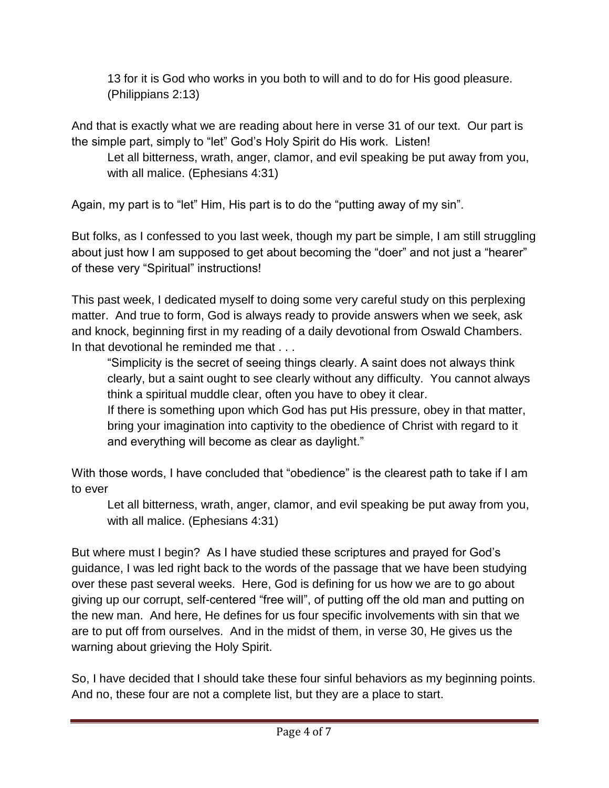13 for it is God who works in you both to will and to do for His good pleasure. (Philippians 2:13)

And that is exactly what we are reading about here in verse 31 of our text. Our part is the simple part, simply to "let" God's Holy Spirit do His work. Listen!

Let all bitterness, wrath, anger, clamor, and evil speaking be put away from you, with all malice. (Ephesians 4:31)

Again, my part is to "let" Him, His part is to do the "putting away of my sin".

But folks, as I confessed to you last week, though my part be simple, I am still struggling about just how I am supposed to get about becoming the "doer" and not just a "hearer" of these very "Spiritual" instructions!

This past week, I dedicated myself to doing some very careful study on this perplexing matter. And true to form, God is always ready to provide answers when we seek, ask and knock, beginning first in my reading of a daily devotional from Oswald Chambers. In that devotional he reminded me that . . .

"Simplicity is the secret of seeing things clearly. A saint does not always think clearly, but a saint ought to see clearly without any difficulty. You cannot always think a spiritual muddle clear, often you have to obey it clear.

If there is something upon which God has put His pressure, obey in that matter, bring your imagination into captivity to the obedience of Christ with regard to it and everything will become as clear as daylight."

With those words, I have concluded that "obedience" is the clearest path to take if I am to ever

Let all bitterness, wrath, anger, clamor, and evil speaking be put away from you, with all malice. (Ephesians 4:31)

But where must I begin? As I have studied these scriptures and prayed for God's guidance, I was led right back to the words of the passage that we have been studying over these past several weeks. Here, God is defining for us how we are to go about giving up our corrupt, self-centered "free will", of putting off the old man and putting on the new man. And here, He defines for us four specific involvements with sin that we are to put off from ourselves. And in the midst of them, in verse 30, He gives us the warning about grieving the Holy Spirit.

So, I have decided that I should take these four sinful behaviors as my beginning points. And no, these four are not a complete list, but they are a place to start.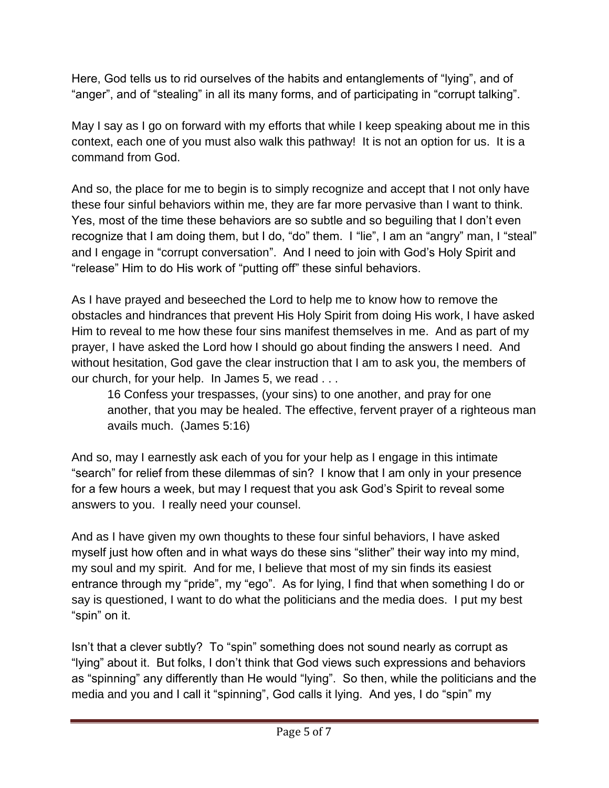Here, God tells us to rid ourselves of the habits and entanglements of "lying", and of "anger", and of "stealing" in all its many forms, and of participating in "corrupt talking".

May I say as I go on forward with my efforts that while I keep speaking about me in this context, each one of you must also walk this pathway! It is not an option for us. It is a command from God.

And so, the place for me to begin is to simply recognize and accept that I not only have these four sinful behaviors within me, they are far more pervasive than I want to think. Yes, most of the time these behaviors are so subtle and so beguiling that I don't even recognize that I am doing them, but I do, "do" them. I "lie", I am an "angry" man, I "steal" and I engage in "corrupt conversation". And I need to join with God's Holy Spirit and "release" Him to do His work of "putting off" these sinful behaviors.

As I have prayed and beseeched the Lord to help me to know how to remove the obstacles and hindrances that prevent His Holy Spirit from doing His work, I have asked Him to reveal to me how these four sins manifest themselves in me. And as part of my prayer, I have asked the Lord how I should go about finding the answers I need. And without hesitation, God gave the clear instruction that I am to ask you, the members of our church, for your help. In James 5, we read . . .

16 Confess your trespasses, (your sins) to one another, and pray for one another, that you may be healed. The effective, fervent prayer of a righteous man avails much. (James 5:16)

And so, may I earnestly ask each of you for your help as I engage in this intimate "search" for relief from these dilemmas of sin? I know that I am only in your presence for a few hours a week, but may I request that you ask God's Spirit to reveal some answers to you. I really need your counsel.

And as I have given my own thoughts to these four sinful behaviors, I have asked myself just how often and in what ways do these sins "slither" their way into my mind, my soul and my spirit. And for me, I believe that most of my sin finds its easiest entrance through my "pride", my "ego". As for lying, I find that when something I do or say is questioned, I want to do what the politicians and the media does. I put my best "spin" on it.

Isn't that a clever subtly? To "spin" something does not sound nearly as corrupt as "lying" about it. But folks, I don't think that God views such expressions and behaviors as "spinning" any differently than He would "lying". So then, while the politicians and the media and you and I call it "spinning", God calls it lying. And yes, I do "spin" my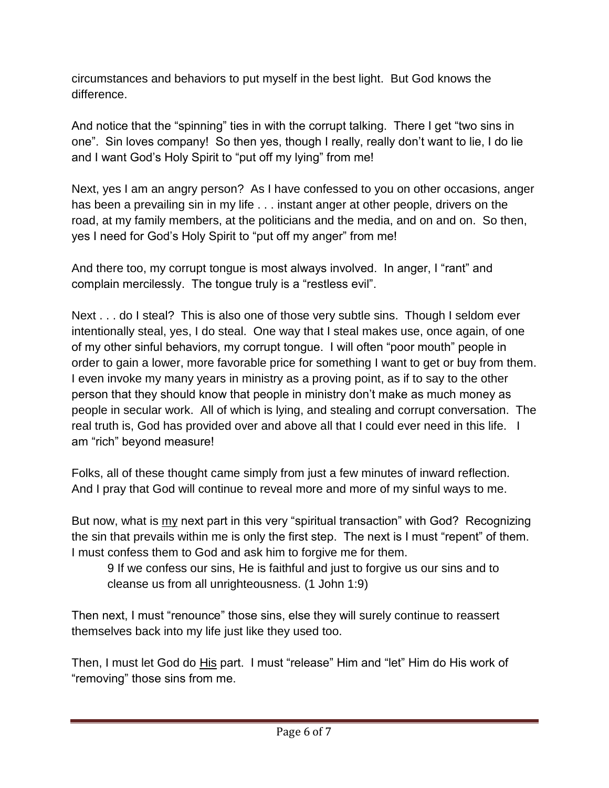circumstances and behaviors to put myself in the best light. But God knows the difference.

And notice that the "spinning" ties in with the corrupt talking. There I get "two sins in one". Sin loves company! So then yes, though I really, really don't want to lie, I do lie and I want God's Holy Spirit to "put off my lying" from me!

Next, yes I am an angry person? As I have confessed to you on other occasions, anger has been a prevailing sin in my life . . . instant anger at other people, drivers on the road, at my family members, at the politicians and the media, and on and on. So then, yes I need for God's Holy Spirit to "put off my anger" from me!

And there too, my corrupt tongue is most always involved. In anger, I "rant" and complain mercilessly. The tongue truly is a "restless evil".

Next . . . do I steal? This is also one of those very subtle sins. Though I seldom ever intentionally steal, yes, I do steal. One way that I steal makes use, once again, of one of my other sinful behaviors, my corrupt tongue. I will often "poor mouth" people in order to gain a lower, more favorable price for something I want to get or buy from them. I even invoke my many years in ministry as a proving point, as if to say to the other person that they should know that people in ministry don't make as much money as people in secular work. All of which is lying, and stealing and corrupt conversation. The real truth is, God has provided over and above all that I could ever need in this life. I am "rich" beyond measure!

Folks, all of these thought came simply from just a few minutes of inward reflection. And I pray that God will continue to reveal more and more of my sinful ways to me.

But now, what is my next part in this very "spiritual transaction" with God? Recognizing the sin that prevails within me is only the first step. The next is I must "repent" of them. I must confess them to God and ask him to forgive me for them.

9 If we confess our sins, He is faithful and just to forgive us our sins and to cleanse us from all unrighteousness. (1 John 1:9)

Then next, I must "renounce" those sins, else they will surely continue to reassert themselves back into my life just like they used too.

Then, I must let God do His part. I must "release" Him and "let" Him do His work of "removing" those sins from me.